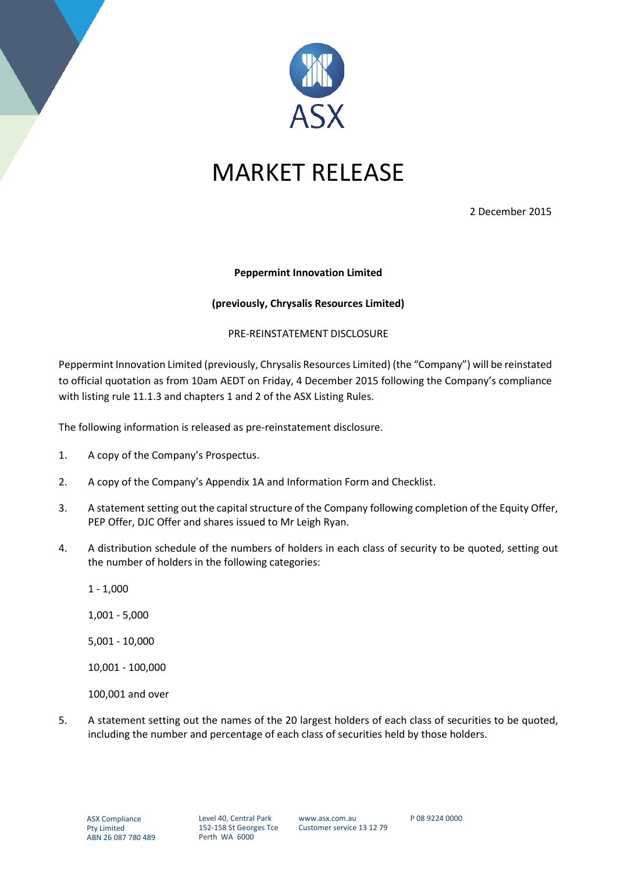

## MARKET RELEASE

2 December 2015

## **Peppermint Innovation Limited**

## **(previously, Chrysalis Resources Limited)**

## PRE-REINSTATEMENT DISCLOSURE

Peppermint Innovation Limited (previously, Chrysalis Resources Limited) (the "Company") will be reinstated to official quotation as from 10am AEDT on Friday, 4 December 2015 following the Company's compliance with listing rule 11.1.3 and chapters 1 and 2 of the ASX Listing Rules.

The following information is released as pre-reinstatement disclosure.

- 1. A copy of the Company's Prospectus.
- 2. A copy of the Company's Appendix 1A and Information Form and Checklist.
- 3. A statement setting out the capital structure of the Company following completion of the Equity Offer, PEP Offer, DJC Offer and shares issued to Mr Leigh Ryan.
- 4. A distribution schedule of the numbers of holders in each class of security to be quoted, setting out the number of holders in the following categories:
	- 1 1,000
	- 1,001 5,000
	- 5,001 10,000
	- 10,001 100,000

100,001 and over

5. A statement setting out the names of the 20 largest holders of each class of securities to be quoted, including the number and percentage of each class of securities held by those holders.

P 08 9224 0000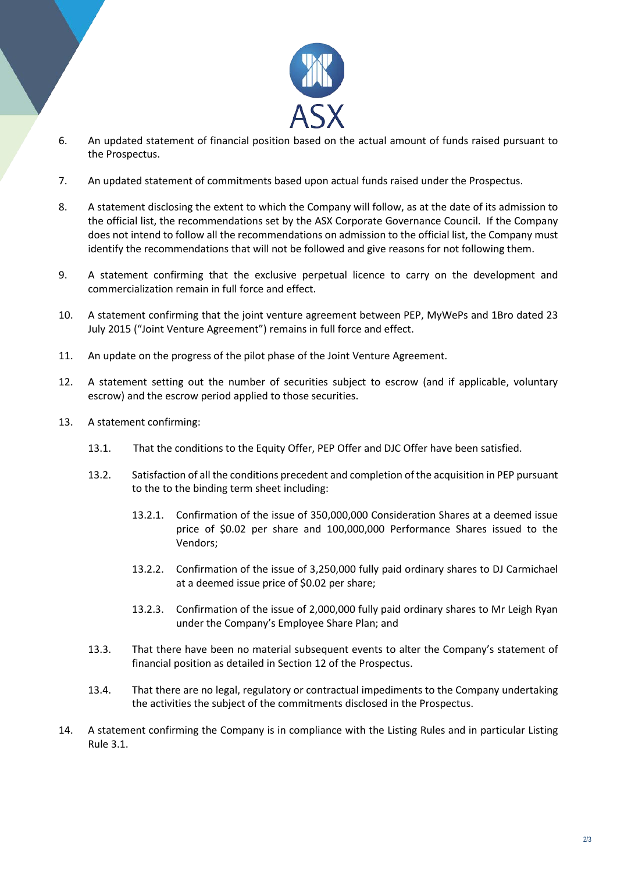

- 6. An updated statement of financial position based on the actual amount of funds raised pursuant to the Prospectus.
- 7. An updated statement of commitments based upon actual funds raised under the Prospectus.
- 8. A statement disclosing the extent to which the Company will follow, as at the date of its admission to the official list, the recommendations set by the ASX Corporate Governance Council. If the Company does not intend to follow all the recommendations on admission to the official list, the Company must identify the recommendations that will not be followed and give reasons for not following them.
- 9. A statement confirming that the exclusive perpetual licence to carry on the development and commercialization remain in full force and effect.
- 10. A statement confirming that the joint venture agreement between PEP, MyWePs and 1Bro dated 23 July 2015 ("Joint Venture Agreement") remains in full force and effect.
- 11. An update on the progress of the pilot phase of the Joint Venture Agreement.
- 12. A statement setting out the number of securities subject to escrow (and if applicable, voluntary escrow) and the escrow period applied to those securities.
- 13. A statement confirming:
	- 13.1. That the conditions to the Equity Offer, PEP Offer and DJC Offer have been satisfied.
	- 13.2. Satisfaction of all the conditions precedent and completion of the acquisition in PEP pursuant to the to the binding term sheet including:
		- 13.2.1. Confirmation of the issue of 350,000,000 Consideration Shares at a deemed issue price of \$0.02 per share and 100,000,000 Performance Shares issued to the Vendors;
		- 13.2.2. Confirmation of the issue of 3,250,000 fully paid ordinary shares to DJ Carmichael at a deemed issue price of \$0.02 per share;
		- 13.2.3. Confirmation of the issue of 2,000,000 fully paid ordinary shares to Mr Leigh Ryan under the Company's Employee Share Plan; and
	- 13.3. That there have been no material subsequent events to alter the Company's statement of financial position as detailed in Section 12 of the Prospectus.
	- 13.4. That there are no legal, regulatory or contractual impediments to the Company undertaking the activities the subject of the commitments disclosed in the Prospectus.
- 14. A statement confirming the Company is in compliance with the Listing Rules and in particular Listing Rule 3.1.